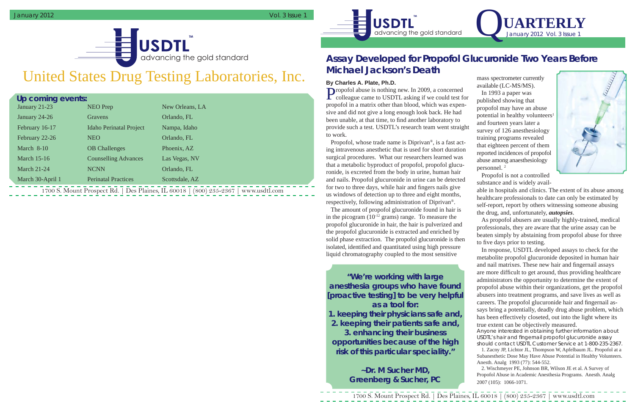1700 S. Mount Prospect Rd. | Des Plaines, IL 60018 | (800) 235-2367 | www.usdtl.com



## United States Drug Testing Laboratories, Inc.

# advancing the gold standard **TM**

| Up coming events:                                                                         |                    |                                |                 |
|-------------------------------------------------------------------------------------------|--------------------|--------------------------------|-----------------|
|                                                                                           | January 21-23      | NEO Prep                       | New Orleans, LA |
|                                                                                           | January 24-26      | Gravens                        | Orlando, FL     |
|                                                                                           | February 16-17     | <b>Idaho Perinatal Project</b> | Nampa, Idaho    |
|                                                                                           | February 22-26     | <b>NEO</b>                     | Orlando, FL     |
|                                                                                           | March 8-10         | <b>OB</b> Challenges           | Phoenix, AZ     |
|                                                                                           | <b>March 15-16</b> | <b>Counselling Advances</b>    | Las Vegas, NV   |
|                                                                                           | <b>March 21-24</b> | <b>NCNN</b>                    | Orlando, FL     |
|                                                                                           | March 30-April 1   | <b>Perinatal Practices</b>     | Scottsdale, AZ  |
| 1700 S. Mount Prospect Rd.   Des Plaines, IL 60018  <br>$(800)$ 235-2367<br>www.usdtl.com |                    |                                |                 |

Propofol abuse is nothing new. In 2009, a concerned colleague came to USDTL asking if we could test for propofol in a matrix other than blood, which was expensive and did not give a long enough look back. He had been unable, at that time, to find another laboratory to provide such a test. USDTL's research team went straight to work.

## **Assay Developed for Propofol Glucuronide Two Years Before Michael Jackson's Death**

### **By Charles A. Plate, Ph.D.**

As propofol abusers are usually highly-trained, medical professionals, they are aware that the urine assay can be beaten simply by abstaining from propofol abuse for three to five days prior to testing.

Propofol, whose trade name is Diprivan ®, is a fast acting intravenous anesthetic that is used for short duration surgical procedures. What our researchers learned was that a metabolic byproduct of propofol, propofol glucuronide, is excreted from the body in urine, human hair and nails. Propofol glucuronide in urine can be detected for two to three days, while hair and fingers nails give us windows of detection up to three and eight months, respectively, following administration of Diprivan ® .

The amount of propofol glucuronide found in hair is in the picogram  $(10^{-12} \text{ grams})$  range. To measure the propofol glucuronide in hair, the hair is pulverized and the propofol glucuronide is extracted and enriched by solid phase extraction. The propofol glucuronide is then isolated, identified and quantitated using high pressure liquid chromatography coupled to the most sensitive

mass spectrometer currently available (LC-MS/MS).



In 1993 a paper was published showing that propofol may have an abuse potential in healthy volunteers<sup>1</sup> and fourteen years later a survey of 126 anesthesiology training programs revealed that eighteen percent of them reported incidences of propofol abuse among anaesthesiology personnel. 2

Propofol is not a controlled substance and is widely avail-



able in hospitals and clinics. The extent of its abuse among healthcare professionals to date can only be estimated by self-report, report by others witnessing someone abusing the drug, and, unfortunately, *autopsies*.

In response, USDTL developed assays to check for the metabolite propofol glucuronide deposited in human hair and nail matrixes. These new hair and fingernail assays are more difficult to get around, thus providing healthcare administrators the opportunity to determine the extent of propofol abuse within their organizations, get the propofol abusers into treatment programs, and save lives as well as careers. The propofol glucuronide hair and fingernail assays bring a potentially, deadly drug abuse problem, which has been effectively closeted, out into the light where its true extent can be objectively measured.

*Anyone interested in obtaining further information about USDTL's hair and fi ngernail propofol glucuronide assay should contact USDTL Customer Service at 1-800-235-2367.* 

1. Zacny JP, Lichtor JL, Thompson W, Apfelbaum JL. Propofol at a Subanesthetic Dose May Have Abuse Potential in Healthy Volunteers. Anesth. Analg 1993 (77): 544-552.

2. Wischmeyer PE, Johnson BR, Wilson JE et al. A Survey of Propofol Abuse in Academic Anesthesia Programs. Anesth. Analg 2007 (105): 1066-1071.

**"We're working with large anesthesia groups who have found [proactive testing] to be very helpful as a tool for: 1. keeping their physicians safe and,** 

**2. keeping their patients safe and, 3. enhancing their business opportunities because of the high risk of this particular speciality."** 

> **~Dr. M Sucher MD, Greenberg & Sucher, PC**